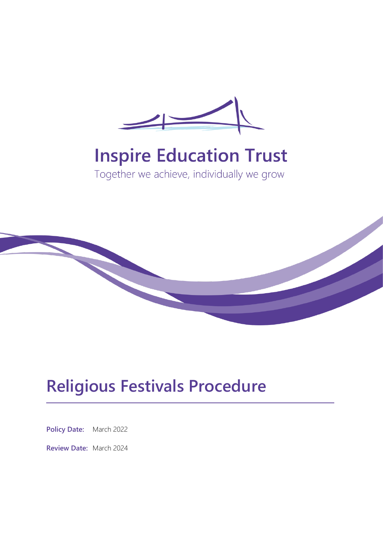

# **Inspire Education Trust**

Together we achieve, individually we grow



## **Religious Festivals Procedure**

**Policy Date:** March 2022

**Review Date:** March 2024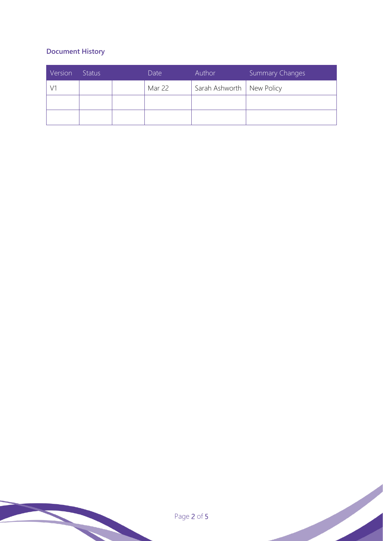### **Document History**

| Version | <b>Status</b> | Date   | Author                      | Summary Changes |
|---------|---------------|--------|-----------------------------|-----------------|
|         |               | Mar 22 | Sarah Ashworth   New Policy |                 |
|         |               |        |                             |                 |
|         |               |        |                             |                 |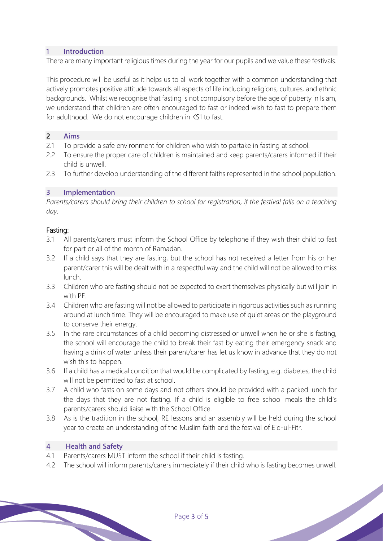#### **1 Introduction**

There are many important religious times during the year for our pupils and we value these festivals.

This procedure will be useful as it helps us to all work together with a common understanding that actively promotes positive attitude towards all aspects of life including religions, cultures, and ethnic backgrounds. Whilst we recognise that fasting is not compulsory before the age of puberty in Islam, we understand that children are often encouraged to fast or indeed wish to fast to prepare them for adulthood. We do not encourage children in KS1 to fast.

#### **2 Aims**

- 2.1 To provide a safe environment for children who wish to partake in fasting at school.
- 2.2 To ensure the proper care of children is maintained and keep parents/carers informed if their child is unwell.
- 2.3 To further develop understanding of the different faiths represented in the school population.

#### **3 Implementation**

*Parents/carers should bring their children to school for registration, if the festival falls on a teaching day.*

#### Fasting:

- 3.1 All parents/carers must inform the School Office by telephone if they wish their child to fast for part or all of the month of Ramadan.
- 3.2 If a child says that they are fasting, but the school has not received a letter from his or her parent/carer this will be dealt with in a respectful way and the child will not be allowed to miss lunch.
- 3.3 Children who are fasting should not be expected to exert themselves physically but will join in with PE.
- 3.4 Children who are fasting will not be allowed to participate in rigorous activities such as running around at lunch time. They will be encouraged to make use of quiet areas on the playground to conserve their energy.
- 3.5 In the rare circumstances of a child becoming distressed or unwell when he or she is fasting, the school will encourage the child to break their fast by eating their emergency snack and having a drink of water unless their parent/carer has let us know in advance that they do not wish this to happen.
- 3.6 If a child has a medical condition that would be complicated by fasting, e.g. diabetes, the child will not be permitted to fast at school.
- 3.7 A child who fasts on some days and not others should be provided with a packed lunch for the days that they are not fasting. If a child is eligible to free school meals the child's parents/carers should liaise with the School Office.
- 3.8 As is the tradition in the school, RE lessons and an assembly will be held during the school year to create an understanding of the Muslim faith and the festival of Eid-ul-Fitr.

#### **4 Health and Safety**

- 4.1 Parents/carers MUST inform the school if their child is fasting.
- 4.2 The school will inform parents/carers immediately if their child who is fasting becomes unwell.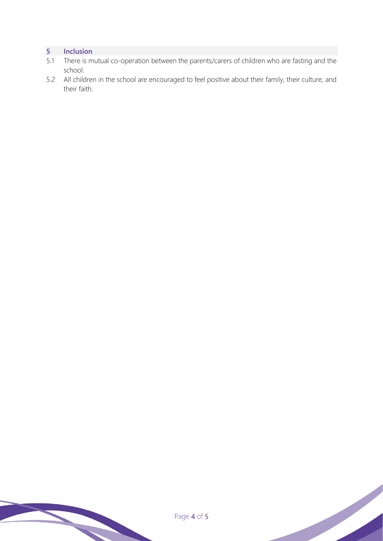#### **5 Inclusion**

- 5.1 There is mutual co-operation between the parents/carers of children who are fasting and the school.
- 5.2 All children in the school are encouraged to feel positive about their family, their culture, and their faith.